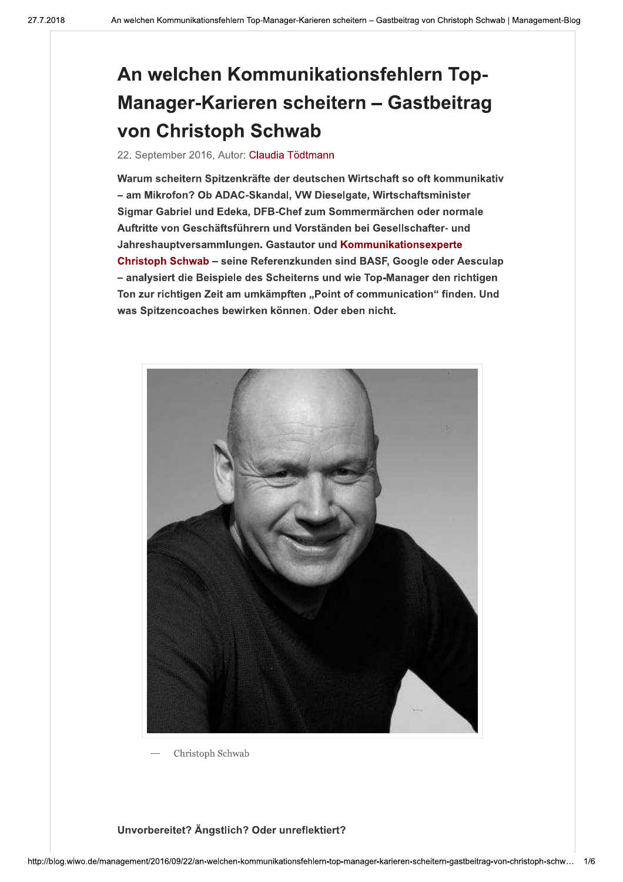# An welchen Kommunikationsfehlern Top-Manager-Karieren scheitern - Gastbeitrag von Christoph Schwab

## 22. September 2016, Autor: Claudia Tödtmann

Warum scheitern Spitzenkräfte der deutschen Wirtschaft so oft kommunikativ - am Mikrofon? Ob ADAC-Skandal, VW Dieselgate, Wirtschaftsminister Sigmar Gabriel und Edeka, DFB-Chef zum Sommermärchen oder normale Auftritte von Geschäftsführern und Vorständen bei Gesellschafter- und Jahreshauptversammlungen. Gastautor und Kommunikationsexperte Christoph Schwab - seine Referenzkunden sind BASF, Google oder Aesculap - analysiert die Beispiele des Scheiterns und wie Top-Manager den richtigen Ton zur richtigen Zeit am umkämpften "Point of communication" finden. Und was Spitzencoaches bewirken können. Oder eben nicht.



Christoph Schwab

## Unvorbereitet? Ängstlich? Oder unreflektiert?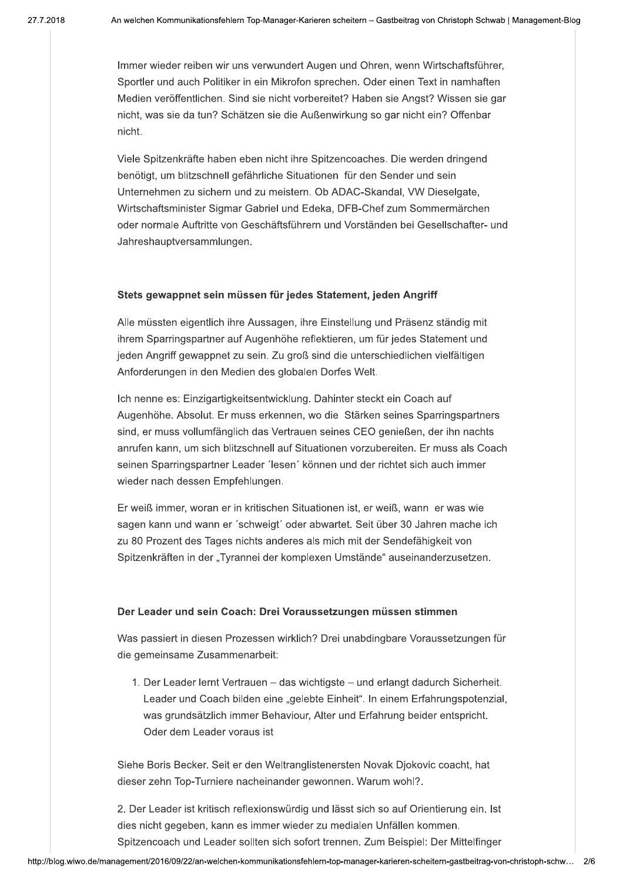Immer wieder reiben wir uns verwundert Augen und Ohren, wenn Wirtschaftsführer. Sportler und auch Politiker in ein Mikrofon sprechen. Oder einen Text in namhaften Medien veröffentlichen. Sind sie nicht vorbereitet? Haben sie Angst? Wissen sie gar nicht, was sie da tun? Schätzen sie die Außenwirkung so gar nicht ein? Offenbar nicht.

Viele Spitzenkräfte haben eben nicht ihre Spitzencoaches. Die werden dringend<br>benötigt, um blitzschnell gefährliche Situationen für den Sender und sein nötigt, um blitzschnell gefährliche Situationen für den Sender und sein Unternehmen zu sichern und zu meistern. Ob ADAC-Skandal. VW Dieselgate. Wirtschaftsminister Sigmar Gabriel und Edeka. DFB-Chef zum Sommermärchen oder normale Auftritte von Geschäftsführern und Vorständen bei Gesellschafter- und Jahreshauptversammlungen.

#### Stets gewappnet sein müssen für jedes Statement, jeden Angriff

Alle müssten eigentlich ihre Aussagen, ihre Einstellung und Präsenz ständig mit ihrem Sparringspartner auf Augenhöhe reflektieren, um für jedes Statement und ieden Angriff gewappnet zu sein. Zu groß sind die unterschiedlichen vielfältigen Anforderungen in den Medien des globalen Dorfes Welt.

Ich nenne es: Einzigartigkeitsentwicklung. Dahinter steckt ein Coach auf Augenhöhe, Absolut, Er muss erkennen, wo die Stärken seines Sparringspartners sind, er muss vollumfänglich das Vertrauen seines CEO genießen, der ihn nachts anrufen kann, um sich blitzschnell auf Situationen vorzubereiten. Er muss als Coach seinen Sparringspartner Leader 'lesen' können und der richtet sich auch immer wieder nach dessen Empfehlungen.

Er weiß immer, woran er in kritischen Situationen ist, er weiß, wann er was wie sagen kann und wann er 'schweigt' oder abwartet. Seit über 30 Jahren mache ich zu 80 Prozent des Tages nichts anderes als mich mit der Sendefähigkeit von Spitzenkräften in der "Tyrannei der komplexen Umstände" auseinanderzusetzen.

#### Der Leader und sein Coach: Drei Voraussetzungen müssen stimmen

Was passiert in diesen Prozessen wirklich? Drei unabdingbare Voraussetzungen für die gemeinsame Zusammenarbeit:

1. Der Leader lernt Vertrauen – das wichtigste – und erlangt dadurch Sicherheit. Leader und Coach bilden eine "gelebte Einheit". In einem Erfahrungspotenzial. was grundsätzlich immer Behaviour. Alter und Erfahrung beider entspricht. Oder dem Leader voraus ist

Siehe Boris Becker. Seit er den Weltranglistenersten Novak Diokovic coacht, hat dieser zehn Top-Turniere nacheinander gewonnen. Warum wohl?.

dieser zenn<br>
2. Der Leader<br>
dies nicht geg<br>
Spitzencoach<br>
http://blog.wiwo.de/management/2016/09 dieser zenn Top-Turniere nachema<br>
2. Der Leader ist kritisch reflexions<br>
dies nicht gegeben, kann es imme<br>
Spitzencoach und Leader sollten s<br>
wiwo.de/management/2016/09/22/an-welchen-kommunik 2. Der Leader ist kritisch reflexionswürdig und lässt sich so auf Orientierung ein. Ist dies nicht gegeben, kann es immer wieder zu medialen Unfällen kommen. Spitzencoach und Leader sollten sich sofort trennen. Zum Beispiel: Der Mittelfinger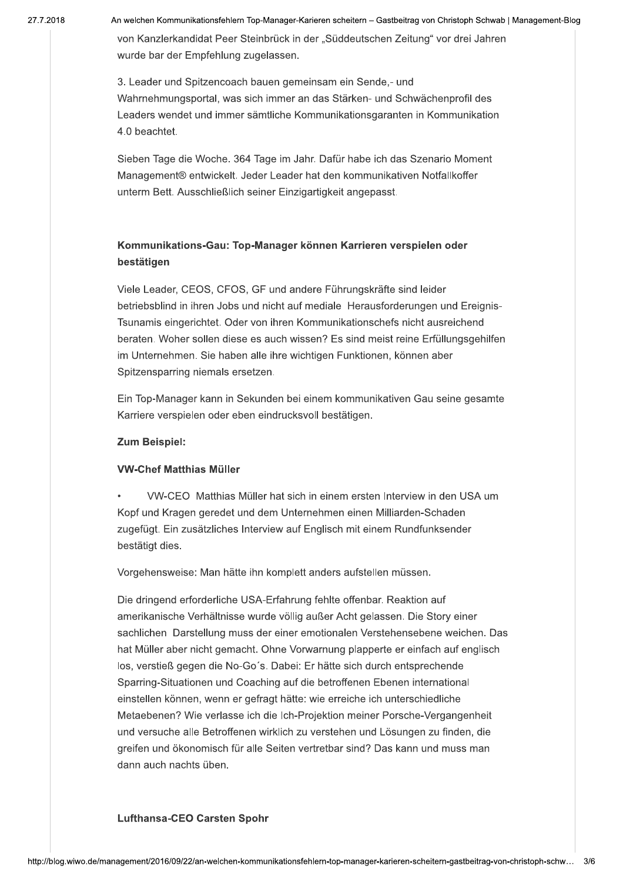21. I . ZI

zu18 – An weichen Kommunikationsfehlern Top-Manager-Karieren scheitern – Gastbeitrag von Unristoph Schwab | Management-Blog

von Kanzierkandidat Peer Steinbruck in der "Suddeutschen Zeitung" vor drei Jahren wurde bar der Empreniung zugelassen.

3. Leader und Spitzencoach bauen gemeinsam ein Sende,- und vvanrnenmungsportal, was sich immer an das Starken- und Schwachenprofil des Leaders wendet und immer samtliche Kommunikationsgaranten in Kommunikation 4.0 peachtet.

Sieben Tage die Woche. 364 Tage im Jahr. Dafür habe ich das Szenario Moment Management® entwickelt. Jeder Leader hat den kommunikativen Notfallkoffer unterm Bett. Ausschließlich seiner Einzigartigkeit angepasst.

## Kommunikations-Gau: Top-Manager können Karrieren verspielen oder bestätigen

viele Leader, CEOS, CFOS, GF und andere Funrungskrafte sind leider viele Leader, CEOS, CFOS, GF und andere Funrungskrafte sind leider<br>betriebsblind in ihren Jobs und nicht auf mediale Herausforderungen und Ereignis-Tsunamis eingerichtet. Oder von ihren Kommunikationschefs nicht ausreichen Tsunamis eingerichtet. Oder von inren Kommunikationschefs nicht ausreichend<br>beraten. Woher sollen diese es auch wissen? Es sind meist reine Erfüllungsgehilfen im Unternenmen. Sie naben alle inre wichtigen Funktionen, konnen aber Spitzensparring niemais ersetzen.

Ein Top-Manager kann in Sekunden bei einem kommunikativen Gau seine gesamte Karriere verspielen oder eben eindrucksvoll bestatigen.

## Zum Beispiel:

## **VW-Chef Matthias Müller**

• VW-CEO Matthias Muller hat sich in einem ersten interview in den USA um Kopf und Kragen geredet und dem Unternehmen einen Milliarden-Schaden zugefugt. Ein zusatzliches Interview auf Englisch mit einem Rundfunksender<br>bestätigt dies. statigt dies.

vorgenensweise: Man hatte inn komplett anders aufstellen mussen.

Die dringend erforderliche USA-Erfahrung fehlte offenbar. Reaktion auf amerikanische Vernaltnisse wurde vollig aulser Acht gelassen. Die Story einer sachlichen Darstellung muss der einer emotionalen verstenensebene weichen. Das nat Muller aber nicht gemacht. Onne vorwarnung plapperte er einfach auf englisch los, verstiels gegen die No-Go s. Dabel: Er hatte sich durch entsprechende  $\mathsf{sparring}\text{-}\mathsf{suruationen}$  und  $\mathsf{Coacning}$  aur die betroffenen Ebenen international einstellen konnen, wenn er gefragt hatte: wie erreiche ich unterschiedliche wetaebenen / wie verlasse ich die ich-Projektion meiner Porsche-Vergangenneit und versucne alle Betroffenen wirklich zu verstehen und Losungen zu finden, die greiren und okonomisch für alle Selten vertretbar sind? Das kann und muss man dann auch nachts uben.

## Lufthansa-CEO Carsten Spohr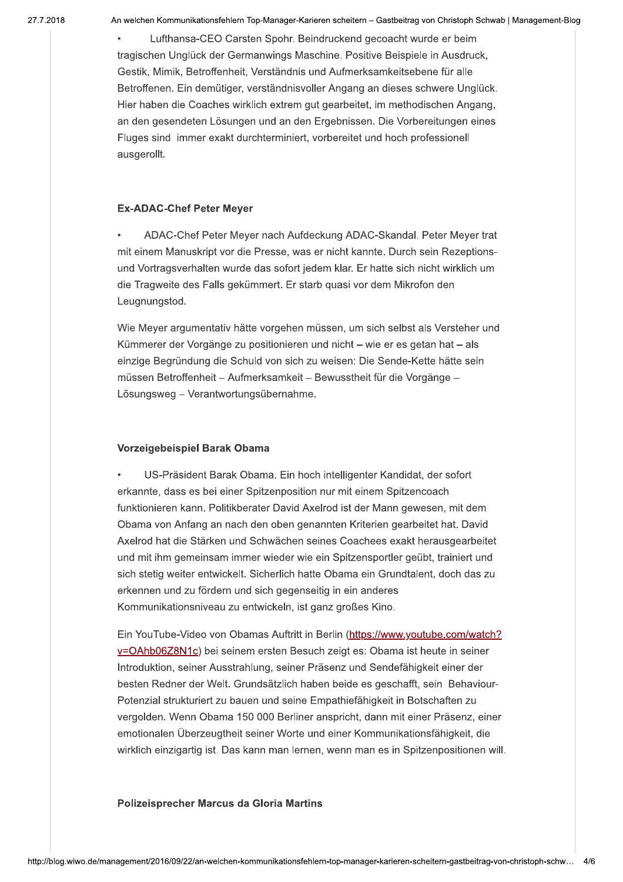21. I . ZI

zu18 – An weichen Kommunikationsfehlern Top-Manager-Karieren scheitern – Gastbeitrag von Unristoph Schwab | Management-Blog

• Lufthansa-CEO Carsten Sponr. Beindruckend gecoacht wurde er beim tragischen Ungluck der Germanwings Maschine. Positive Beispiele in Ausdruck, Gestik, Mimik, Betroffenneit, Verstandnis und Aufmerksamkeitsebene für alle Betroffenen. Ein demutiger, verstandnisvoller Angang an dieses schwere Ungluck. Hier naben die Coacnes wirklich extrem gut gearbeitet, im methodischen Angang, an den gesendeten Losungen und an den Ergebnissen. Die Vorbereitungen eines Fluges sind Timmer exakt durchterminiert, vorbereitet und noch professionell ausgerollt.

## Ex-ADAC-Chef Peter Meyer

• ADAC-Chef Peter Meyer hach Aufdeckung ADAC-Skandal. Peter Meyer trat mit einem Manuskript vor die Presse, was er nicht kannte. Durch sein Rezeptionsund vortragsvernalten wurde das sofort jedem klar. Er hatte sich nicht wirklich um  $\alpha$ ie Tragweite des Falls gekummert. Er starb quasi vor dem Mikrofon den  $\alpha$ Leugnungstod.

vvie Meyer argumentativ natte vorgenen mussen, um sich selbst als Verstener und Kummerer der Vorgange zu positionieren und nicht – wie er es getan hat – als einzige Begrundung die Schuld von sich zu weisen: Die Sende-Kette hatte sein I mussen Betroffenneit – Aufmerksamkeit – Bewusstheit für die Vorgange – Losungsweg – verantwortungsubernanme.

## Vorzeigebeispiel Barak Obama

• US-Prasident Barak Obama. Ein noch intelligenter Kandidat, der sofort erkannte, dass es bei einer Spitzenposition nur mit einem Spitzencoach funktionieren kann. Politikberater David Axelrod ist der Mann gewesen, mit dem Obama von Anfang an nach den oben genannten Kriterien gearbeitet hat. David Axelrod hat die Starken und Schwachen seines Coachees exakt herausgearbeitet und mit ihm gemeinsam immer wieder wie ein Spitzensportier geubt, trainiert und sich stetig weiter entwickelt. Sicherlich hatte Obama ein Grundtalent, doch das zu erkennen und zu fordern und sich gegenseitig in ein anderes Kommunikationshiveau zu entwickeln, ist ganz großes Kino.

Ein YouTube-Video von Obamas Auftritt in Berlin (<u>https://www.youfube.co</u> wächen seines Coachees exakt herausgearbe<br>
ieder wie ein Spitzensportler geübt, trainiert u<br>
erlich hatte Obama ein Grundtalent, doch das<br>
1 gegenseitig in ein anderes<br>
skeln, ist ganz großes Kino.<br>
Auftritt in Berlin (htt Axelrod hat die Stärken und Schwächen seines Coachees exakt herausgearbeitet<br>
und mit ihm gemeinsam immer wieder wie ein Spitzensportler geübt, trainiert und<br>
sich stetig weiter entwickelt. Sicherlich hatte Obama ein Grund i seinem ersten Besuch zeigt es: Obama ist neute in seiner introduktion, seiner Ausstraniung, seiner Prasenz und Sendefanigkeit einer der ıntroαuκtıon, seiner Ausstraniung, seiner Prasenz und Sendefanigkeit einer der<br>besten Redner der Welt. Grundsätzlich haben beide es geschafft, sein Behaviour-Potenziai strukturiert zu bauen und seine Empathlefanigkeit in Botschaften zu vergolden. Wenn Obama 150 000 Berliner anspricht, dann mit einer Prasenz, einer emotionalen Uberzeugtneit seiner worte und einer Kommunikationsfanigkeit, die wirklich einzigartig ist. Das kann man iernen, wenn man es in Spitzenpositionen will.

## Polizeisprecher Marcus da Gloria Martins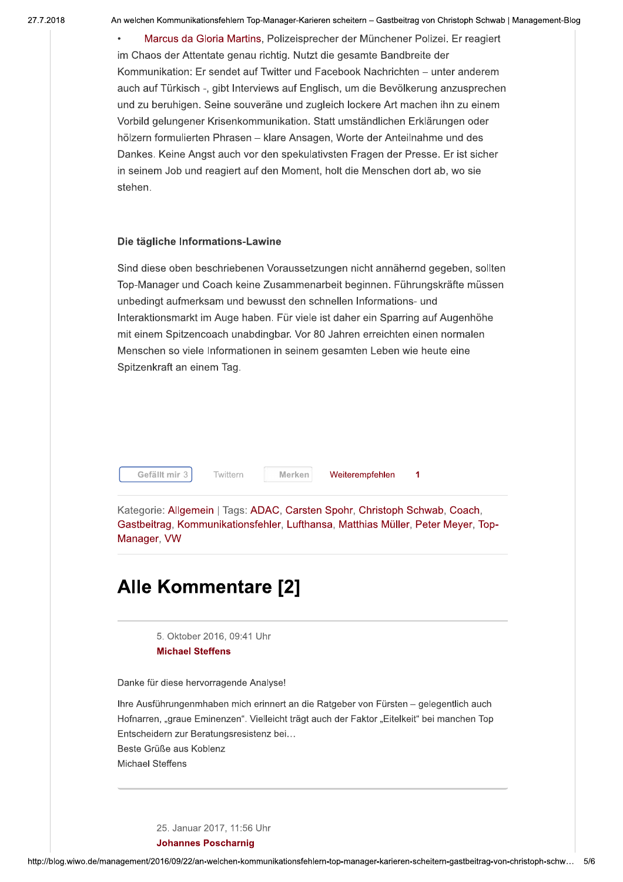zu18 – An weichen Kommunikationsfehlern Top-Manager-Karieren scheitern – Gastbeitrag von Unristoph Schwab | Management-Blog

• Marcus da Gioria Martins, Polizeisprecher der Munchener Polizel. Er reagiert im Chaos der Attentate genau richtig. Nutzt die gesamte Bandbreite der Kommunikation: Er sendet auf Twitter und Facebook Nachrichten – unter anderem  $\overline{\phantom{a}}$ auch aur Turkisch -, gibt interviews aur Englisch, um die Bevolkerung anzusprechen und zu berunigen. Seine souverane und zugieich lockere Art machen inn zu einem vorbild gelungener Krisenkommunikation. Statt umstandlichen Erklarungen oder noizern formulierten Phrasen – klare Ansagen, worte der Antellnahme und des Dankes. Kelne Angst auch vor den spekulativsten Fragen der Presse. Er ist sicher in seinem Job und reagiert auf den Moment, noit die Menschen dort ab, wo sie stenen.

#### Die tägliche Informations-Lawine

Sind diese oben beschriebenen Voraussetzungen nicht annanernd gegeben, sollten Top-Manager und Coach keine Zusammenarbeit beginnen. Funrungskrafte mussen unbedingt aufmerksam und bewusst den schnellen Informations- und interaktionsmarkt im Auge naben. Fur viele ist daner ein Sparring auf Augennone mit einem Spitzencoach unabdingbar. Vor 80 Jahren erreichten einen normalen Menschen so viele Informationen in seinem gesamten Leben wie heute eine Spitzenkraft an einem Tag.

Twittern Merken

iteremprenien 1

Kategorie: Aligemein | Tags: ADAC, Carsten Sponr, Christoph Schwab, Coach, Gastbeitrag, Kommunikationsfehler, Lufthansa, Matthias Muller, Peter Meyer, Top-Manager, VW Gerallt mir 3 Mitter<br>Segorie: Allgemein | Tag<br>tbeitrag, Kommunikation<br>ager, VW

## Alle Kommentare [2]

5. Oktober 2016, 09:41 Unr Michael Steffens

Danke fur diese hervorragende Analyse!

inre Austunrungenmnaben mich erinnert an die Ratgeber von Fursten – gelegentlich auch Hornarren, "graue Eminenzen". Vielleicht tragt auch der Faktor "Eitelkeit" bei manchen Top Entscheidern zur Beratungsresistenz bei... Beste Gruise aus Kobienz

Michael Steπens

25. Januar 2017, 11:56 Unr